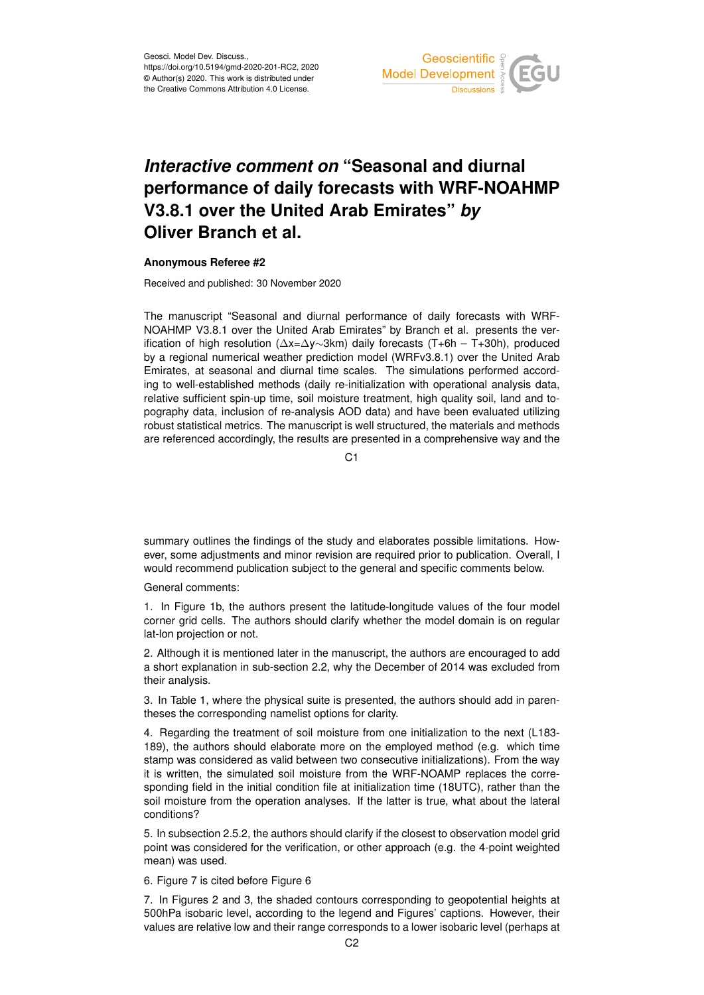

## *Interactive comment on* **"Seasonal and diurnal performance of daily forecasts with WRF-NOAHMP V3.8.1 over the United Arab Emirates"** *by* **Oliver Branch et al.**

## **Anonymous Referee #2**

Received and published: 30 November 2020

The manuscript "Seasonal and diurnal performance of daily forecasts with WRF-NOAHMP V3.8.1 over the United Arab Emirates" by Branch et al. presents the verification of high resolution (∆x=∆y∼3km) daily forecasts (T+6h – T+30h), produced by a regional numerical weather prediction model (WRFv3.8.1) over the United Arab Emirates, at seasonal and diurnal time scales. The simulations performed according to well-established methods (daily re-initialization with operational analysis data, relative sufficient spin-up time, soil moisture treatment, high quality soil, land and topography data, inclusion of re-analysis AOD data) and have been evaluated utilizing robust statistical metrics. The manuscript is well structured, the materials and methods are referenced accordingly, the results are presented in a comprehensive way and the

 $C<sub>1</sub>$ 

summary outlines the findings of the study and elaborates possible limitations. However, some adjustments and minor revision are required prior to publication. Overall, I would recommend publication subject to the general and specific comments below.

General comments:

1. In Figure 1b, the authors present the latitude-longitude values of the four model corner grid cells. The authors should clarify whether the model domain is on regular lat-lon projection or not.

2. Although it is mentioned later in the manuscript, the authors are encouraged to add a short explanation in sub-section 2.2, why the December of 2014 was excluded from their analysis.

3. In Table 1, where the physical suite is presented, the authors should add in parentheses the corresponding namelist options for clarity.

4. Regarding the treatment of soil moisture from one initialization to the next (L183- 189), the authors should elaborate more on the employed method (e.g. which time stamp was considered as valid between two consecutive initializations). From the way it is written, the simulated soil moisture from the WRF-NOAMP replaces the corresponding field in the initial condition file at initialization time (18UTC), rather than the soil moisture from the operation analyses. If the latter is true, what about the lateral conditions?

5. In subsection 2.5.2, the authors should clarify if the closest to observation model grid point was considered for the verification, or other approach (e.g. the 4-point weighted mean) was used.

6. Figure 7 is cited before Figure 6

7. In Figures 2 and 3, the shaded contours corresponding to geopotential heights at 500hPa isobaric level, according to the legend and Figures' captions. However, their values are relative low and their range corresponds to a lower isobaric level (perhaps at